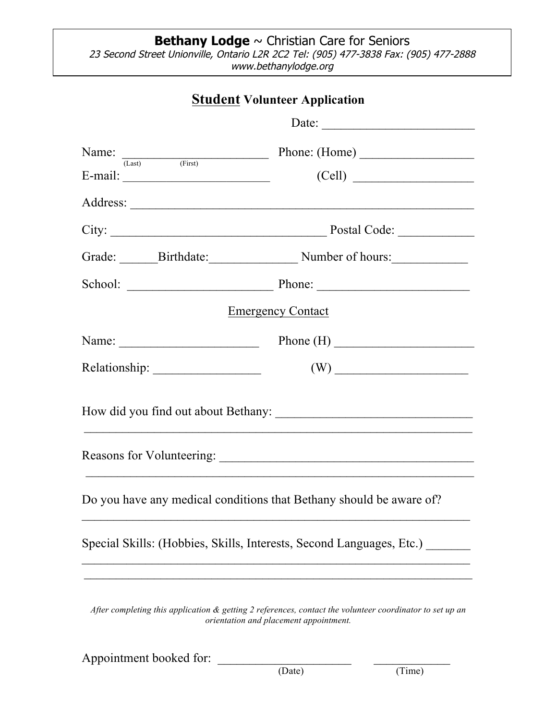## **Bethany Lodge** ~ Christian Care for Seniors 23 Second Street Unionville, Ontario L2R 2C2 Tel: (905) 477-3838 Fax: (905) 477-2888 www.bethanylodge.org

## **Student Volunteer Application**

|                                                                                                                                                    | Date:                                    |  |
|----------------------------------------------------------------------------------------------------------------------------------------------------|------------------------------------------|--|
|                                                                                                                                                    | Name: $\frac{1}{(Last)}$ Phone: $(Home)$ |  |
| E-mail: $\_\_$                                                                                                                                     | (Cell)                                   |  |
|                                                                                                                                                    |                                          |  |
|                                                                                                                                                    |                                          |  |
|                                                                                                                                                    | Grade: Birthdate: Number of hours:       |  |
|                                                                                                                                                    |                                          |  |
| <b>Emergency Contact</b>                                                                                                                           |                                          |  |
|                                                                                                                                                    | Name: $\qquad \qquad \qquad$ Phone (H)   |  |
|                                                                                                                                                    |                                          |  |
|                                                                                                                                                    |                                          |  |
|                                                                                                                                                    |                                          |  |
| Do you have any medical conditions that Bethany should be aware of?                                                                                |                                          |  |
| Special Skills: (Hobbies, Skills, Interests, Second Languages, Etc.)                                                                               |                                          |  |
| After completing this application & getting 2 references, contact the volunteer coordinator to set up an<br>orientation and placement appointment. |                                          |  |

Appointment booked for: \_\_\_\_\_\_\_\_\_\_\_\_\_\_\_\_\_\_\_\_\_ \_\_\_\_\_\_\_\_\_\_\_\_